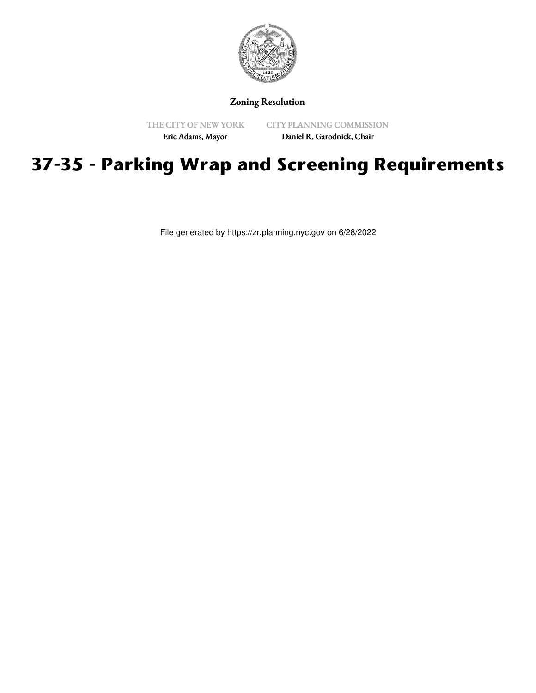

Zoning Resolution

THE CITY OF NEW YORK

CITY PLANNING COMMISSION

Eric Adams, Mayor

Daniel R. Garodnick, Chair

# **37-35 - Parking Wrap and Screening Requirements**

File generated by https://zr.planning.nyc.gov on 6/28/2022